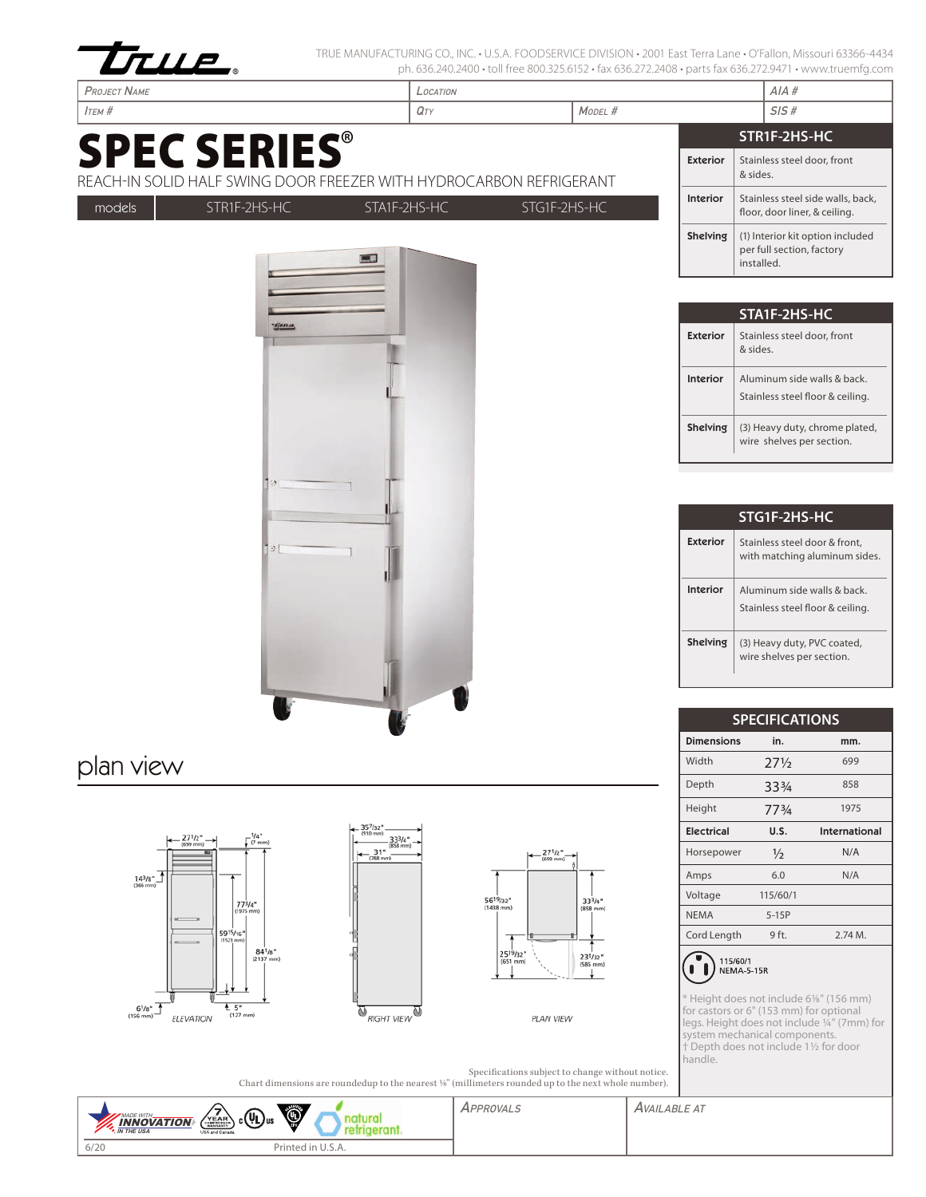

TRUE MANUFACTURING CO., INC. • U.S.A. FOODSERVICE DIVISION • 2001 East Terra Lane • O'Fallon, Missouri 63366-4434 ph. 636.240.2400 • toll free 800.325.6152 • fax 636.272.2408 • parts fax 636.272.9471 • www.truemfg.com

|                                                                                            |                                               | ph. 050.240.2400 • toll liee 000.325.0132 • lax 050.27 2.2400 • parts lax 050.27 2.347 F • WWW.truering.com |               |                             |                                                                                                                                                   |               |
|--------------------------------------------------------------------------------------------|-----------------------------------------------|-------------------------------------------------------------------------------------------------------------|---------------|-----------------------------|---------------------------------------------------------------------------------------------------------------------------------------------------|---------------|
| <b>PROJECT NAME</b>                                                                        |                                               | LOCATION                                                                                                    |               |                             | AIA#                                                                                                                                              |               |
| <b>І</b> тєм #                                                                             |                                               | MODEL #<br>QTY                                                                                              |               |                             | SIS#                                                                                                                                              |               |
|                                                                                            |                                               |                                                                                                             |               |                             | STR1F-2HS-HC                                                                                                                                      |               |
| <b>SPEC SERIES®</b><br>REACH-IN SOLID HALF SWING DOOR FREEZER WITH HYDROCARBON REFRIGERANT |                                               |                                                                                                             |               | <b>Exterior</b>             | Stainless steel door, front<br>& sides.                                                                                                           |               |
| STR1F-2HS-HC<br>models                                                                     | STA1F-2HS-HC                                  | STG1F-2HS-HC                                                                                                |               | Interior                    | Stainless steel side walls, back,<br>floor, door liner, & ceiling.                                                                                |               |
|                                                                                            | ΕЯ                                            |                                                                                                             |               | Shelving                    | (1) Interior kit option included<br>per full section, factory<br>installed.                                                                       |               |
|                                                                                            |                                               |                                                                                                             |               |                             | STA1F-2HS-HC                                                                                                                                      |               |
| TEFALLA,                                                                                   |                                               |                                                                                                             |               | <b>Exterior</b>             | Stainless steel door, front<br>& sides.                                                                                                           |               |
|                                                                                            |                                               |                                                                                                             |               | Interior                    | Aluminum side walls & back.<br>Stainless steel floor & ceiling.                                                                                   |               |
|                                                                                            |                                               |                                                                                                             |               | <b>Shelving</b>             | (3) Heavy duty, chrome plated,<br>wire shelves per section.                                                                                       |               |
| $\Im$ [                                                                                    |                                               |                                                                                                             |               | <b>Exterior</b><br>Interior | STG1F-2HS-HC<br>Stainless steel door & front,<br>with matching aluminum sides.<br>Aluminum side walls & back.<br>Stainless steel floor & ceiling. |               |
|                                                                                            |                                               |                                                                                                             |               | <b>Shelving</b>             | (3) Heavy duty, PVC coated,<br>wire shelves per section.                                                                                          |               |
|                                                                                            |                                               |                                                                                                             |               |                             | <b>SPECIFICATIONS</b>                                                                                                                             |               |
|                                                                                            |                                               |                                                                                                             |               | <b>Dimensions</b><br>Width  | in.<br>$27\frac{1}{2}$                                                                                                                            | mm.<br>699    |
| plan view                                                                                  |                                               |                                                                                                             |               | Depth                       | 334                                                                                                                                               | 858           |
|                                                                                            |                                               |                                                                                                             |               | Height                      | 773/4                                                                                                                                             | 1975          |
|                                                                                            | - 35 <sup>7</sup> /32"<br>(910 mm)            |                                                                                                             |               | <b>Electrical</b>           | U.S.                                                                                                                                              | International |
| $\int_C \frac{1}{4}$ (7 mm)<br>$27^{1/2}$ $\rightarrow$ (699 mm)                           | 333/4"<br>$(858$ mm $)$<br>$-31"$<br>(788 mm) | $\leftarrow \frac{27^{1/2}}{\text{(699 mm)}}$                                                               |               | Horsepower                  | $\frac{1}{2}$                                                                                                                                     | N/A           |
| $14^{3}/8$ <sup>*</sup>                                                                    |                                               |                                                                                                             |               | Amps                        | 6.0                                                                                                                                               | N/A           |
|                                                                                            |                                               | 56 <sup>19</sup> /32"<br>(1438 mm)                                                                          | $33^{3}/4"$   | Voltage                     | 115/60/1                                                                                                                                          |               |
| $77^{3}/4$ *<br>(1975 mm)                                                                  |                                               |                                                                                                             | $(858$ mm $)$ | <b>NEMA</b>                 | $5-15P$                                                                                                                                           |               |
| 5915/16"                                                                                   |                                               | ▲                                                                                                           |               | Cord Length                 | 9 ft.                                                                                                                                             | 2.74 M.       |







PLAN VIEW

\* Height does not include 61/8" (156 mm) for castors or 6" (153 mm) for optional legs. Height does not include 1/4" (7mm) for system mechanical components. † Depth does not include 11/2 for door

handle.

 $\bigodot$  115/60/1<br>NEMA-5-15R

Specifications subject to change without notice. Chart dimensions are roundedup to the nearest 1/8" (millimeters rounded up to the next whole number).

| ۱<br>$_{c}(\Psi$ L) <sub>us</sub><br>MADE WITH_<br>VEAR<br><b>INNOVATION</b><br>IN THE USA<br>USA and Canada | <b>PPROVAL</b> | <i><b>LABLE AT</b></i><br>AVAIL |
|--------------------------------------------------------------------------------------------------------------|----------------|---------------------------------|
| 6/20<br>Printed in U.S.A.                                                                                    |                |                                 |